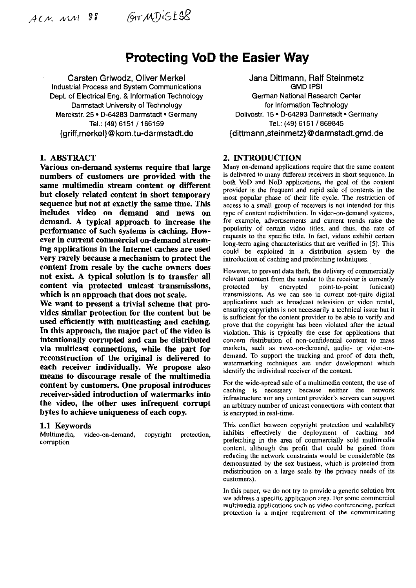ACM MM 98

# **Protecting VoD the Easier Way**

Carsten Griwodz, Oliver Merkel Jana Dittmann, Ralf Steinmetz<br>
strial Process and System Communications<br>
GMD IPSI Industrial Process and System Communications Dept. of Electrical Eng. & Information Technology German National Research Center Darmstadt University of Technology for information Technology Merckstr. 25 • D-64283 Darmstadt • Germany Dolivostr. 15 • D-64293 Darmstadt • Germany Tel.: (49) 6151 / 869845 {griff,rnerkel)@ korn.tu-darrnstadt.de {dittrnann,steinrnetz) @ darrnstadt.grnd.de

1. ABSTRACT<br> **1. ABSTRACT** 2. INTRODUCTION<br>
Various on-demand systems require that large Many on-demand applications require that the same content Various on-demand systems require that large Many on-demand applications require that the same content<br>numbers of customers are provided with the is delivered to many different receivers in short sequence. In numbers of customers are provided with the is delivered to many different receivers in short sequence. In some multimedia stream contant on different both VoD and NoD applications, the goal of the content **both VOD and NOD applications, the goal of the content stream Content in short temporary**<br>but closely related content in short temporary<br>streame for popular phase of their life cycle. The restriction of<br>sequence but not a sequence but not at exactly the same time. This includes video on demand and news on demand. A typical approach to increase the performance of such systems is caching. However in current commercial on-demand streaming applications in the Internet caches are used very rarely because a mechanism to protect the content from resale by the cache owners does not exist. A typical solution is to transfer all content via protected unicast transmissions, which is an approach that does not scale.

We want to present a trivial scheme that provides similar protection for the content but be used efficiently with multicasting and caching. In this approach, the major part of the video is intentionally corrupted and can be distributed via multicast connections, while the part for reconstruction of the original is delivered to each receiver individually. We propose also means to discourage resale of the multimedia content by customers. One proposal introduces receiver-sided introduction of watermarks into the video, the other uses infrequent corrupt bytes to achieve uniqueness of each copy.

**1.1 Keywords**<br>Multimedia, video-on-demand, Multimedia, comption

Tel.: (49) 6151 / 869845

type of content redistribution. In video-on-demand systems, for example, advertisements and current trends raise the popularity of certain video titles, and thus, the rate of requests to ihe specific title. In fact, videos exhibit certain long-term aging characteristics that are verified in **[5].** This could be exploited in a distribution system by the introduction of caching and prefetching techniques.

However, to prevent data theft, ihe delivery of commercially relevant content from the sender to the receiver is currently<br>protected by encrypted point-to-point (unicast) by encrypted point-to-point (unicast) transmissions. As we can see in current not-quite digital applications such as broadcast television or video rental, ensuring copyrights is not necessarily a technical issue but it is sufficient for the content provider to be able to verify and prove that the copyright has been violated after the actual violation. This is typically the case for applications that concem distribution of non-confidential content to mass markets, such as news-on-demand, audio- or video-ondemand. To support the tracking and proof of data theft. watermarking techniques are under development which identify the individual receiver of the content.

For the wide-spread sale of a multimedia content, the use of caching is necessary because neither the network infrastructure nor any content provider's servers can support an arbitrary number of unicast connections with content that is encrypted in real-time.

This conflict between copyright protection and scalahility copyright protection, inhibits effectively the deployment of caching and prefetching in the area of commercially sold multimedia content, although the profit that could be gained from reducing the network constraints would be considerable (as demonstrated by ihe sex business, which is protected from redistribution on a large scale by the privacy needs of its eustomers).

> In this paper, we do not try to provide a generic solution but we address a specific application area. For some commercial multimedia applications such as video conferencing, perfect protection is a major requirement of the communicating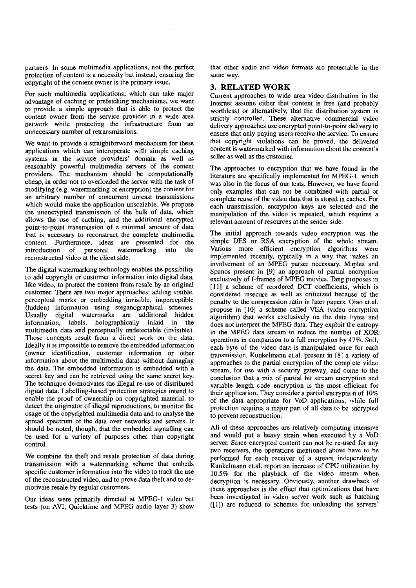partners. In some multimedia applications, not the perfect protection of content is a necessity hut instead, ensuring the copyright of the content owner is the primary issue.

For such multimedia applications, which can take major advantage of caching or prefetching mechanisms, we Want to provide a simple approach that is able to protect the content owner from the service provider in a wide area network while protecting the infrastructure from an unnecessary number of retransmissions.

We want to provide a straightforward mechanism for these applications which can interoperate with simple caching systems in the scrvice providers' domain as well as reasonably powerful multimedia servers of the content providers. The mechanism should be compuiationally cheap, in order not to overloaded the server with the task of modifying (e.g. watermarking or encryption) the content for an arhitrary number of concurrent unicast transmissions which would make the application unscalable. We propose the unencrypted transmission of the bulk of data, which allows the use of caching, and the additional encrypted point-to-point transmission of a minimal amount of data that is necessary to reconstruct the complete multimedia content. Furthermore, ideas are presented for the introduction of personal watermarking into the reconstructed video at the client side.

The digital watermarking technology enahles the possibility to add copyright or customer information into digital data. like video, to protect the content from resale by an original customer. There are two major approaches: adding visible, perceptuai marks or embedding invisible, imperceptible (hidden) information using steganographical schemes. Usually digital watermarks **an?** additional hidden information, labels, holographically inlaid in the multimedia data and perceptually undetectable (invisible). Those concepts result from a direct work on the data. Ideally it is impossible to remove the embedded information (owner identification, customer information or other information about the multimedia data) without damaging the data. The embedded information is embedded with a secret key and can be retrieved using the same secret key. The technique de-motivates the illegal re-use of distributed digital data. Labelling-based protection strategies intend to enable the proof of ownership on copyrighted material, to detect the originator of illegal reproductions, to monitor the usage of the copyrighted multimedia data and to analyse the spread spectrum of the data over networks and servers. It should be noted, though, that the emhedded signalling can be used for a variety of purposes other than copyright control.

We combine the theft and resale protection of data during transmission with a watermarking scheme that embeds specific customer information into the video to track the use of the reconstructed video, and to prove data theft and to demotivate resale by regular customers.

Our ideas were primarily directed at MPEG-I video but tests (on AVI, Quicktime and MPEG audio layer 3) show

that other audio and video formals are protectable in the Same way.

## 3. RELATED WORK

Current approaches to wide area video disiribution in the Internet assume either that content is free (and probably worthless) or alternatively, that the distribution system is strictly controlled. These alternative commercial video delivery approaches use encrypted point-to-point delivery to cnsure that only paying Users receive the service. To ensure that copyright violations can be proved, the delivered content is watermarked with information about the content's seller as well **as** the customer.

The approaches to encryption that we have found in the literature are specifically implemented for MPEG- I, which was also in the focus of our tests. However, we have found only examples that can not be combined with partial or complete reuse of the video data that is stored in caches. For each transmission, encryption keys are selected and the manipulation of the video is repeated. which requires a relevant amount of resources at the sender side.

The initial approach towards video encryption was the simple DES or RSA encryption of the whole stream. Various more efficient encryption algorithrns were implemented recently, typically in a way that makes an involvement of an MPEG parser necessary. Maples and Spanos present in [9] an approach of partial encryption exclusively of I-frames of MPEG movies. Tang proposes in [11] a scheme of reordered DCT coefficients, which is considered insecure as well as criticized because of the penaity to the compression ratio in later Papers. Qiao et.al. propose in [I01 a scheme called VEA (video encryption algorithm) that works exclusively on the data bytes and does not interpret the MPEG data. They exploit the entropy in the MPEG data stream to reduce the number of XOR operations in comparison to a full encryption by 47%. Still. each byte of the video data is manipulated once for each transmission. Kunkelmann et.al. present in **[X]** a variety of approaches to the partial encryption of the complete video stream, for use with a security gateway, and come to the conclusion that a mix of partial bit stream encryption and variable length code encryption is the most efficient for their application. They consider a partial encryption of 10% of the data appropriate for VoD applications. while full protection requires a major part of all data to **be** encrypted to prevent reconstruction.

All of these approaches are relatively computing intensive and would put a heavy strain when executed by a VoD server. Since encrypted content can not be re-used for any two receivers, the operations mentioned above have to he performed for each receiver of a stream independently. Kunkelmann et.al. report an increase of CPU utilization by 10.5% for the playback of the video stream when decryption is necessary. Obviously, another drawback of these approaches is the effect that optimizations that have been investigated in video server work such as batching  $([1])$  are reduced to schemes for unloading the servers'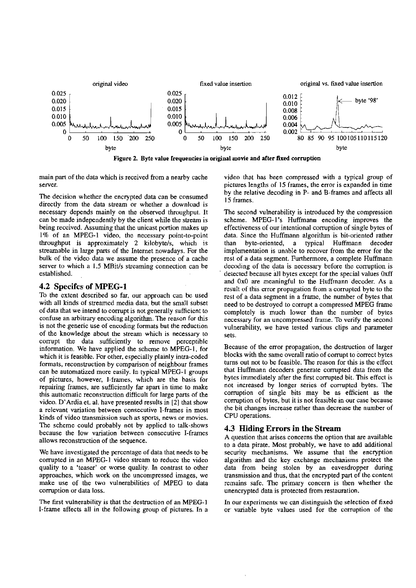

Figure 2. Byte value Irequencies in original movie and after **fixed** cormption

main part of the data which is received from a nearby cache server.

The decision whether the encrypted data can be consumed directly from the data stream or whether a download is necessary depends mainly on the observed throughput. It can be made independently by the client while the stream is heing received. Assuming that the unicast portion makes up 1% of an MPEG-1 video, the necessary point-to-point throughput is approximately 2 kilobyte/s, which is streamable in large parts of the Internet nowadays. Eor the hulk of the video data we assume the presence of a cache server to which a 1.5 MBit/s streaming connection can be established.

### **4.2 Specifcs of MPEG-1**

To the extent described so far, our approach can be used with all kinds of streamed media data, but the small subset of data that we intend to corrupt is not generally sufficient to confuse an arbitrary encoding algorithm. The reason for this is not the generic use of encoding formats but the reduction of the knowledge about the stream which is necessarv to corrupt the data sufficiently to remove perceptible information. We have applied the scheme to MPEG-I, for which it is feasible. For other, especially plainly intra-coded formats, reconstruction by comparison of neighbour frames can be automatized more easily. In typical MPEG- I groups of pictures, however, I-frarnes, which are the basis for repairing frames, are sufficiently far apart in time to make this auttomatic reconstmction difficult for large pans of the video. D'Ardia et. al. have presented results in **121** that show a relevant variation between consecutive I-frames in most kinds of video transmission such as sporis, news or movies. The scheme could probably not by applied to talk-shows because the Iow variation between consecutive I-frames allows reconstmction of the sequence.

We have investigated the percentage of data that needs to be corrupted in an MPEG-1 video stream to reduce the video quality to a 'teaser' or worse quality. In contrast to other approaches, which work on the uncompressed images, we make use of the two vulnerabilities of MPEG to data comption or data loss.

The first vulnerability is that the destmction of an MPEG-I I-frame affects all in the following group of pictures. In a video that has been compressed with a typical group of pictures lengths of 15 frames. the error is expanded in time hy the relative decoding in P- and B-frames and affects all 15 frames.

The second vulnerability is introduced by the compression scheme. MPEG-1's Huffmann encoding improves the effectiveness of our intentional comption of single bytes of data. Since the Huffmann algorithm is bit-oriented rather than hyte-oriented, a typical Huffmann decoder implementation is unable to recover from the error for the rest of a data segment. Furthermore, a complete Huffmann decoding of the data is necessary before the comption is detected because all bytes except for the special values 0xff and 0x0 are meaningful to the Huffrnann decoder. As a resuit of this error propagation frorn **a** corrupted byte to the rest of a data segment in a frame, the number of bytes that need to be destroyed to corrupt a compressed MPEG frame completely is much lower than the number of bytes necessary for an uncompressed Frame. To verify the second vulnerability, we have tested various clips and parameter sets.

Because of the error propagation, the destruction of larger blocks with the same overall ratio of corrupt to correct bytes tums out not to be feasihle. The reason for this is the effect that Huffmann decoders generate corrupted data from the bytes immediately after the first compted bit. This effect is not increased by longer series of compted bytes. The comption of single bits may be as efficient as the comption of bytes, but it is not feasible in our case because the bit changes increase rather than decrease the number of CPU operations.

### **4.3 Hiding Errors in the Stream**

A question that arises concerns the option that are available to a data pirate. Most probably, we have to add additional security mechanisms. We assume that the encryption algorithm and the key exchange mechanisms protect the data from being stolen by an eavesdropper during transmission and thus, that the encrypted part of the content remains safe. The primary concern is then whether the unencrypted data is protected from restauration.

In our experiments we can distinguish the selection of fixed or variable hyte values used for the corruption of the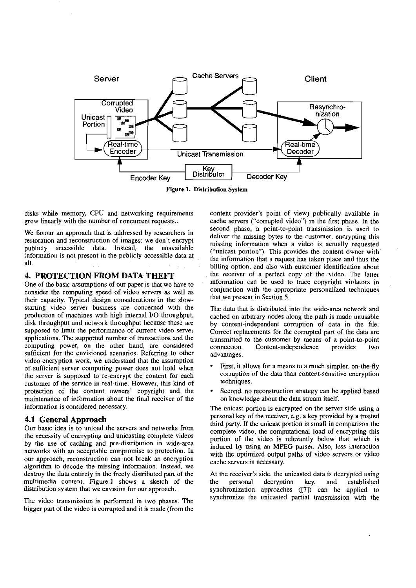

Figure 1. Distribution System

disks while memory, CPU and networking requirements grow linearly with the number of concurrent requests..

We favour an approach that is addressed by researchers in restoration and reconstruction of images: we don't encrypt publicly accessihle data. lnstead, the unavailable information is not present in the publicly accessible data at all.

# **4. PROTECTION FROM DATA THEFT**

One of the basic assumptions of our paper is that we have to consider the computing speed of video servers **as** well as their capacity. Typical design considerations in the slowstariing video server business are concemed with the production of machines with high internal I/O throughput, disk throughput and network throughput because these are supposed to limit the performance of current video server applications. The supported number of transactions and the computing power, on the other hand, are considered sufficient for the envisioned scenarios. Referring to other video encryption work, we understand that the assumption of sufficient server computing power does not hold when the server is supposed to re-encrypt the content for each customer of the service in real-time. However, this kind of protection of the content owners' copyright and the maintenance of information ahout the final receiver of the information is considered necessary.

by the use of caching and pre-distribution in wide-area networks with an acceptable compromise to protection. In networks with an acceptable compromise to protection. In with the optimized output paths of video servers or video our approach, reconstruction can not break an encryption cache servers is necessary. algorithm to decode the missing information. Instead, we destroy the data entirely in the freely distributed part of the multimedia content. Figure 1 shows a sketch of the the personal decryption key, and established distribution system that we envision for our approach. Synchronization approaches ([71] can be applied to

bigger part of the video is corrupted and it is made (from the

content provider's point of view) publically available in cache servers ("corrupted video") in the first phase. In the second phase, a point-to-point transmission is used to deliver the missing bytes to the customer, encrypting this missing information when a video is actually requested ("unicast portion"). This provides the content owner with the information that a request has taken place and thus the billing option, and also with eustomer identification about the receiver of a perfect copy of the video. The latter information can be used to trace copyright violators in conjunction with the appropriate personalized techniques that we present in Section 5.

The data that is distributed into the wide-area network and cached on arbitrary nodes along the path is made unusable by content-independent corruption of data in the file. Correct replacements for the corrupied part of the data are transmitted to the customer by means of a point-to-point connection. Content-independence provides two Content-independence provides two advantages.

- First, it allows for a means to a much simpler, on-the-fly corruption of the data than content-sensitive encryption techniques.
- Second. no reconstruction strategy can be applied based on knowledge about the data stream itself.

The unicast portion is encrypted on the server side using a **4.1 General Approach personal key of the receiver, e.g. a key provided by a trusted the receiver, e.g. a key provided by a trusted the receiver of the unicast portion is small in comparison the** Our basic idea is to unload the servers and networks from<br>the necessity of encrypting and unicasting complete videos<br>by the use of caching and pre-distribution in wide-area<br>induced by using an MPEG parser. Also, less inter

At the receiver's side, the unicasted data is decrypted using<br>the personal decryption key, and established synchronization approaches ([7]) can be applied to The video transmission is performed in two phases. The synchronize the unicasted partial transmission with the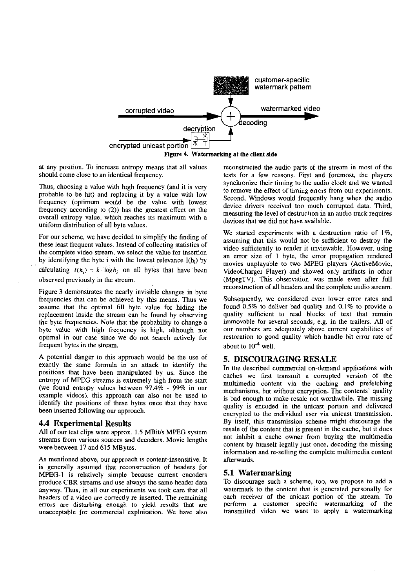

Figure 4. Watermarking at the client side

overall entropy value, which reaches its maximum with a uniform distribution of all byte values.<br>
we started experiments with a destruction ratio of 1%.

observed previously in the stream

Figure 3 demonstrates the nearly invisible changes in byte frequencies that can be achieved by this means. Thus we assume that the optimal fill byte value for hiding the replacement inside the stream can be found by observing the byte frequencies. Note that the probability to change a byte value with high frequency is high, although not optimal in our case since we do not search actively for frequent bytes in the stream.

A potential danger to this approach would be the use of exactly the same formula in an attack to identify the positions that have been manipulated by us. Since the entropy of MPEG streams is extremely high from the start (we found entropy values between 97.4% - 99% in our example videos), this approach can also not be used to identify the positions of these bytes once that they have been inserted following our approach.

### **4.4 Experimental Results**

All of our test clips were approx. 1.5 MBit/s MPEG system streams from various sources and dccoders. Movie lengths were between 17 and 615 MBytes.

As mentioned above. out approach is content-insensitive. It is generally assumed that reconstmction of headers for MPEG-I is relatively simple because current encoders produce CBR streams and use always the same header data anyway. Thus. in all our experiments we took care that all headers of a video are correctly re-inserted. The remaining errors are disturbing enough to yield results that are unacceptable for commercial exploitation. We have also

at any position. To increase entropy means that all values reconstructed the audio parts of the stream in most of the should come close to an identical frequency. tests for a few reasons. First and foremost, the players synchronize their timing to the audio clock and we wanted Thus, choosing a value with high frequency (and it is very<br>probable to be hit) and replacing it by a value with low<br>frequency (optimum would be the value with lowest<br>frequency (optimum would be the value with lowest<br>freque

For our scheme, we have decided to simplify the finding of<br>these least frequent values. Instead of collecting statistics of<br>the complete video stream, we select the value for insertion<br>by identifying the byte i with the l by dentifying the byte I with the lowest relevance  $I(h_i)$  by movies unplayable to two MPEG players (ActiveMovie, calculating  $I(h_i) = k \log h_i$ , on all bytes that have been VideoCharger Player) and showed only artifacts in othe VideoCharger Player) and showed only artifacts in other (MpegTV). This observation was made even after full reconstruction of all headers and the complete audio stream.

> Subsequently, we considered even lower error rates and found 0.5% to deliver bad quality and 0.1% to provide a quality sufficient to read blocks of text that remain immovable for several seconds, e.g. in the trailers. All of our numbers are adequately above current capabilities of restoration to good quality which handle bit error rate of about to  $10^{-4}$  well.

# **5. DISCOURAGING RESALE**

In the described commercial on-demand applications with caches we first transmit a corrupted version of the multimedia content via the caching and prefetching mechanisms, but without encryption. The contents' quality is bad enough to make resale not worthwbile. The missing quality is encoded in the unicast portion and delivered encrypted to the individual user via unicast transmission. By itself, this transmission scheme might discourage the resale of the content that is present in the cache, but it does not inhibit a cache owner from buying the multimedia content by himself legally just once, decoding the missing information and re-selling the complete multimedia content afterwards.

### **5.1 Watermarking**

To discourage such a scheme, too. we propose to add a watermark to the content that is generated personally for each receiver of the unicast portion of the stream. To perform a customer specific watermarking of the transmitted video we Want to apply a watemarking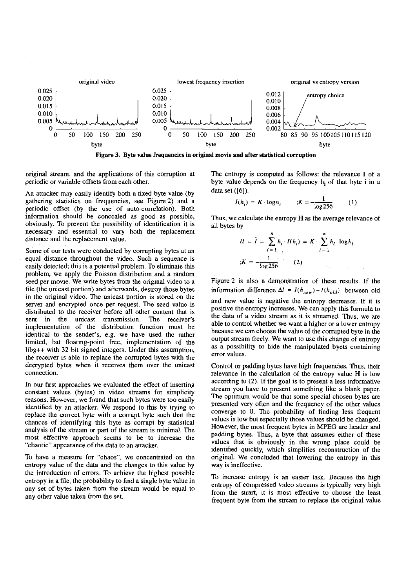

Figure 3. Byte value frequencies in original **mone** and after statistical corruption

error values.

original stream, and the applications of this comption at periodic or variable offsets from each other.

An attacker may easily identify both a fixed byte value (by gathering statistics on frequencies, see Figure 2) and a periodic offset (by the use of auto-correlation). Both infonnation should be concealed as good **as** possible, obviously. To prevent the possibility of identification it is necessary and essential to vary both the replacement distance and the replacement value.

Some of our tests were conducted by corrupting bytes at an equal distance throughout the video. Such a sequence is easily detected; this is a potential problem. To eliminate this problem, we apply the Poisson distribution and a random seed per movie. We write bytes from the original video to a file (the unicast portion) and afterwards, destroy those bytes in the original video. The unicast portion is stored on the server and encrypted once per request. The seed value is distributed to the receiver before all other content that is sent in the unicast transmission. The receiver's implementation of the distribution function must be identical to the sender's, e.g. we have used the rather limited, but floating-point free, implementation of the Iibg++ with 32 bit signed integers. Under this assumption, the receiver is able to replace the corrupted bytes with the decrypted bytes when it receives them over the unicast Control or padding bytes have high frequencies. Thus, their<br>connection.

In our first approaches we evaluated the effect of inserting constant values (bytes) in video streams for simplicity reasons. However, we found that such bytes were too easily identified by an attacker. We respond to this by trying to replace the correct byte with a compt byte such that the chances of identifying this byte as corrupt by statistical analysis of the stream or part of the stream is minimal. The most effective approach seems to be to increase the "chaotic" appearance of the data to an attacker.

To have a measure for "chaos", we concentrated on the entropy value of the data and the changes to this value by the introduction of errors. To achieve the highest possible entropy in a file, the probability to find a single byte value in any set of bytes taken from the stream would be equal to any other value taken from the set.

The entropy is computed as follows: the relevance I of a byte value depends on the frequency  $h_i$  of that byte i in a data set ([6]).

$$
I(h_i) = K \cdot \log h_i \qquad ;K = -\frac{1}{\log 256} \qquad (1)
$$

Thus, we calculate the entropy H as the average relevance of all bytes by

$$
H = \hat{I} = \sum_{i=1}^{n} h_i \cdot I(h_i) = K \cdot \sum_{i=1}^{n} h_i \cdot \log h_i
$$
  

$$
K = -\frac{1}{\log 256}
$$
 (2)

Figure 2 is also a demonstration of these results. If the information difference  $\Delta I = I(h_{new})-I(h_{old})$  between old and new value is negative the entropy decreases. If it is positive the entropy increases. We can apply this formula to the data of a video stream **as** it is streamed. Thus. we **are**  able to control whether we want a higher or a lower entropy because we can choose the value of the compted byte in the output stream freely. We Want to use this change of entropy

**as** a possibility to hide the manipulated byets containing

relevance in the calculation of the entropy value H is low according to  $(2)$ . If the goal is to present a less informative stream you have to present something like a blank paper. The optimum would be that some special chosen bytes are presented very often and the frequency of the other values converge to 0. The probability of finding less frequent values is low but especially those values should be changed. However, the most frequent bytes in MPEG are header and padding bytes. Thus, a byte that assumes either of these values that is obviously in the wrong place could be identified quickly, which simplifies reconstruction of the original. We concluded that lowering the entropy in this way is ineffective.

To increase entropy is an easier task. Because the high entropy of compressed video streams is typically very high from the strart, it is most effective to choose the least frequent byte from the stream to replace the original value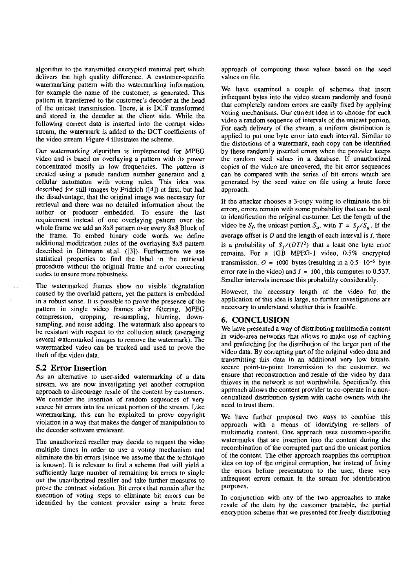algorithm to the transmitted encrypted minimal part which delivers the high quality difference. A customer-specific watermarking pattern with the watermarking information, for example the name of the customer, is generated. This pattern in transferred to the customer's decoder at the head of the unicast transmission. There, it is DCT transformed and stored in the decoder at the client side. While the following correct data is inserted into the corrupt video stream, the watermark is added to the DCT coefficients of the video stream. Figure 4 illustrates the scheme.

Our watermarking algorithm is implemented for MPEG video and is based on overlaying a pattern with its power concentrated mostly in low frequencies. The pattern is created using a pseudo random number generator and a cellular automaton with voting mles. This idea was described for still images by Fridrich (141) at first, but had the disadvantage, that tbe original image was necessary for retrieval and there was no detailed information about tbe author or producer embedded. To ensure the last requirement instead of one overlaying pattern over the whole frame we add an 8x8 pattern over every 8x8 Block of the frame. To embed binary code words we define additional modification rules of the overlaying 8x8 pattern described in Dittmann et.al. ([3]). Furthermore we use statistical properties to find the label in the retrieval procedure without the original frame and error comcting codes to ensure more robustness.

The watermarked frames show no visible' degradation caused by tbe overlaid pattern, yet the pattern is embedded in a robust sense. It is possible to prove the presence of tbe pattern in single video frames after filtering, MPEG compression, cropping, re-sampling, blurring, downsampling, and noise adding. The watermark also appears to be resistant with respect to the collusion attack (averaging several watermarked images to remove the watermark). The watermarked video can be tracked and used to prove tbe theft of the video data.

### **5.2 Error Insertion**

As an alternative to user-sided watermarking of a data stream, we are now investigating yet another comption approach to discourage resale of the content by customers. We consider the insertion of random sequences of very scarce bit errors into the unicast portion of the stream. Like watermarking, this can be exploited to prove copyright violation in a way that makes the danger of manipulation to the decoder Software irrelevant.

The unauthorized reseller may decide to request the video multiple times in order to use a voting mechanism and eliminate tbe bit errors (since we assume that the technique is known). It is reIevant to find a scheme that will yield a sufficiently large number of remaining bit errors to single out tbe unauthorized reseller and take further measures to prove the contract violation. Bit errors that remain after the execution of voting steps to eliminate bit errors can be identified hy the content provider using a brute force approach of computing these values based on the seed values on file.

We have examined a couple of schemes that insert infrequent bytes into the video stream randomly and found that completely random errors are easily fixed by applying voting mechanisms. Our current idea is to choose for each video a random sequence of intervals of the unicast portion. For each delivery of the stream. a uniform distribution is applied to pul one byte error into each interval. Similar to the distortions of a watermark. each copy can **be** identified by these randomly inserted errors when the provider keeps the random seed values in a database. If unauthorized copies of the video are uncovered, the bit error sequences can be compared with the series of bit errors whicb are generated by the seed value on file using a brute force approach.

If the attacker chooses a 3-copy voting to eliminate the bit errors, errors remain with some probability that can be used to identification the original customer. Let the length of the video be  $S_f$ , the unicast portion  $S_u$ , with  $T = S_f/S_u$ . If the average offset is **0** and the length of each interval is I, there is a probability of  $S_f/(OTI^2)$  that a least one byte error remains. For a IGB MPEG-1 video, 0.5% encrypted transmission.  $O = 1000$  bytes (resulting in a  $0.5 \cdot 10^{-6}$  byte eiror rate in the video) and  $I = 100$ , this computes to 0.537. Smaller intervals increase this probability considerably.

However, the necessary length of the video for the application of this idea is large, so further investigations are necessary to understand whether this is feasible.

### **6. CONCLUSION**

We have presented a way of distributing multimedia content in wide-area networks that allows to make use of caching and prefetching for the distribution of the larger part of the video data. By corrupting pari of the original video data and transmitting this data in an additional very low bitrate, secure point-to-point transmission to the customer, we ensure that reconstruction and resale of the video by data thieves in the network is not worthwhile. Specifically. this approach allows the content provider to co-operate in a noncentralized distribution system with cache owners with the need to trust them.

We have further proposed two ways to combine this approach with a means of identifying re-sellers of multimedia content. One approach uses customer-specific watermarks that are insertion into the content during the recombination of the corrupted part and the unicast portion of the content. The other approach reapplies the corruption idea on top of the original corruption, but instead of fixing the errors before presentation to the User, these very infrequent errors remain in the stream for identification purposes.

In conjunction with any of tbe two approaches **to** make resale of the data by the customer tractable, the partial encryption scheme that we presented for freely distributing